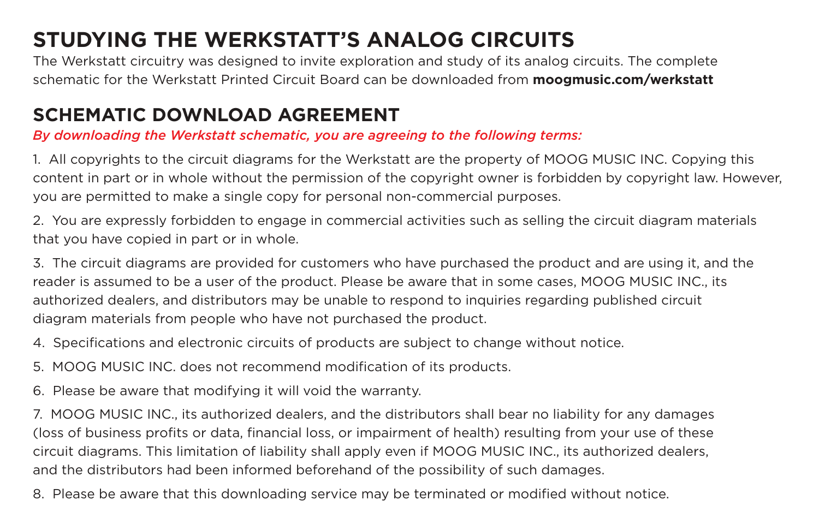## **STUDYING THE WERKSTATT'S ANALOG CIRCUITS**

The Werkstatt circuitry was designed to invite exploration and study of its analog circuits. The complete schematic for the Werkstatt Printed Circuit Board can be downloaded from **moogmusic.com/werkstatt**

## **SCHEMATIC DOWNLOAD AGREEMENT**  *By downloading the Werkstatt schematic, you are agreeing to the following terms:*

1. All copyrights to the circuit diagrams for the Werkstatt are the property of MOOG MUSIC INC. Copying this content in part or in whole without the permission of the copyright owner is forbidden by copyright law. However, you are permitted to make a single copy for personal non-commercial purposes.

2. You are expressly forbidden to engage in commercial activities such as selling the circuit diagram materials that you have copied in part or in whole.

3. The circuit diagrams are provided for customers who have purchased the product and are using it, and the reader is assumed to be a user of the product. Please be aware that in some cases, MOOG MUSIC INC., its authorized dealers, and distributors may be unable to respond to inquiries regarding published circuit diagram materials from people who have not purchased the product.

4. Specifications and electronic circuits of products are subject to change without notice. 5. MOOG MUSIC INC. does not recommend modification of its products.

6. Please be aware that modifying it will void the warranty.

7. MOOG MUSIC INC., its authorized dealers, and the distributors shall bear no liability for any damages (loss of business profits or data, financial loss, or impairment of health) resulting from your use of these circuit diagrams. This limitation of liability shall apply even if MOOG MUSIC INC., its authorized dealers, and the distributors had been informed beforehand of the possibility of such damages.

8. Please be aware that this downloading service may be terminated or modified without notice.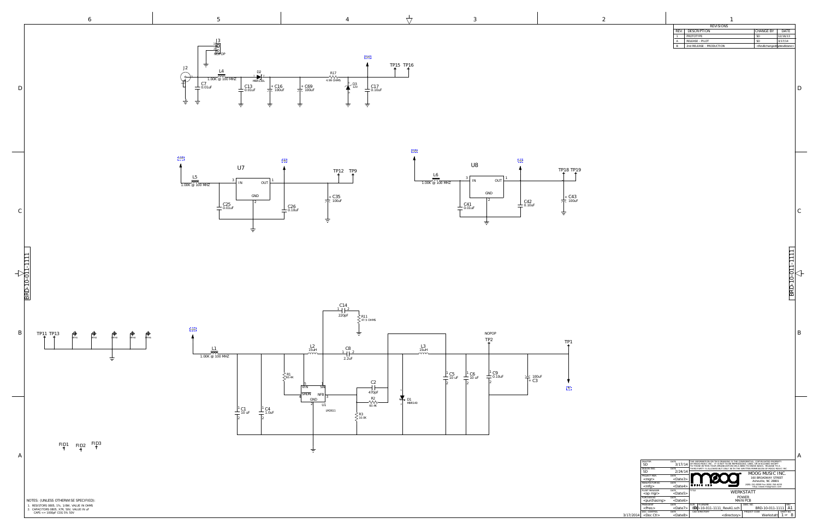|       | <b>REVISIONS</b>         |                                                   |             |
|-------|--------------------------|---------------------------------------------------|-------------|
| R.F.V | DESCRIPTION              | l CHANGE BY                                       | <b>DATE</b> |
|       | PROTOTYPE                | SГ                                                | 12/16/13    |
|       | RELEASE - PILOT          | SE.                                               | 3/17/14     |
|       | 2nd RELEASE - PRODUCTION | <revbchangedbycrevbdate></revbchangedbycrevbdate> |             |

| <b>DRAFTER</b><br>SD<br>DESIGN ENG. | DATE<br>3/17/14<br>DATE | THE INFORMATION ON THIS DRAWING IS THE CONFIDENTIAL, COPYRIGHTED PROPERTY<br>OF MOOG MUSIC INC. IT IS NOT TO BE REPRODUCED, USED, OR DISCLOSED EXCEPT<br>TO THOSE WITHIN YOUR ORGANIZATION ON A NEED TO KNOW BASIS. RELEASE TO A<br>THIRD PARTY IS ALLOWED BUT ONLY WITH THE WRITTEN PERMISSION OF MOOG MUSIC INC. |                                                               |
|-------------------------------------|-------------------------|--------------------------------------------------------------------------------------------------------------------------------------------------------------------------------------------------------------------------------------------------------------------------------------------------------------------|---------------------------------------------------------------|
| SD                                  | 2/24/14                 | ⊛                                                                                                                                                                                                                                                                                                                  | MOOG MUSIC INC.                                               |
| PROJECT MGR.                        | <b>DATE</b>             |                                                                                                                                                                                                                                                                                                                    |                                                               |
| $<$ mgr $>$                         | $<$ Date $3>$           |                                                                                                                                                                                                                                                                                                                    | <b>160 BROADWAY STREET</b><br>Asheville, NC 28801             |
| MANUFACTURING                       | <b>DATE</b>             |                                                                                                                                                                                                                                                                                                                    |                                                               |
| $<$ mfg $>$                         | $<$ Date4>              | <b>MUSIC</b>                                                                                                                                                                                                                                                                                                       | (828) 251-0090 Fax (828) 254-6233<br>http://www.moogmusic.com |
| PLANT MANAGER                       | DATE                    | <b>TITLE</b>                                                                                                                                                                                                                                                                                                       |                                                               |
| <op mgr=""></op>                    | $<$ Date5>              |                                                                                                                                                                                                                                                                                                                    | WERKSTATT                                                     |
| PURCHASING                          | <b>DATE</b>             |                                                                                                                                                                                                                                                                                                                    | <b>POWER</b>                                                  |
| <purchasing></purchasing>           | $<$ Date $6>$           |                                                                                                                                                                                                                                                                                                                    | <b>MAIN PCB</b>                                               |
| PRESIDENT                           | DATE.                   | <b>FILENAME</b><br><b>SIZE</b>                                                                                                                                                                                                                                                                                     | <b>REV</b><br>DWG. NO.                                        |
| $<$ Pres $>$                        | $<$ Date $7$ >          | BBD-10-011-1111_RevA1.sch                                                                                                                                                                                                                                                                                          | BRD-10-011-1111<br>$A^{\circ}$                                |
| DOC. CONTROL                        | DATE                    | CAD DIRECTORY                                                                                                                                                                                                                                                                                                      | SHEET NO<br>PROJECT CODE                                      |
|                                     |                         |                                                                                                                                                                                                                                                                                                                    |                                                               |







<span id="page-1-0"></span>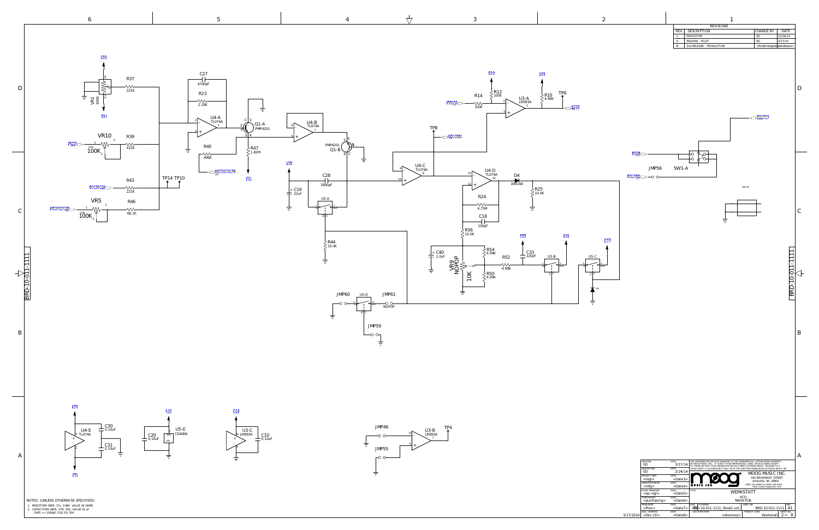|     | <b>REVISIONS</b>         |                                                   |          |
|-----|--------------------------|---------------------------------------------------|----------|
| RFV | DESCRIPTION              | l CHANGE BY                                       | DATE.    |
|     | PROTOTYPE                | .SD                                               | 12/16/13 |
| A   | RELEASE - PH.OT          | .SD                                               | 3/17/14  |
| B   | 2nd RELEASE - PRODUCTION | <revbchangedbycrevbdate></revbchangedbycrevbdate> |          |

| DRAFTER<br>SD<br>DESIGN ENG.            | DATE<br>3/17/14<br>DATE                 | THE INFORMATION ON THIS DRAWING IS THE CONFIDENTIAL, COPYRIGHTED PROPERTY<br>OF MOOG MUSIC INC. IT IS NOT TO BE REPRODUCED, USED, OR DISCLOSED EXCEPT<br>TO THOSE WITHIN YOUR ORGANIZATION ON A NEED TO KNOW BASIS. RELEASE TO A<br>THIRD PARTY IS ALLOWED BUT ONLY WITH THE WRITTEN PERMISSION OF MOOG MUSIC INC. |                                                                                      |
|-----------------------------------------|-----------------------------------------|--------------------------------------------------------------------------------------------------------------------------------------------------------------------------------------------------------------------------------------------------------------------------------------------------------------------|--------------------------------------------------------------------------------------|
| SD<br>PROJECT MGR.<br>$<$ mgr $>$       | 2/24/14<br><b>DATE</b><br>$<$ Date $3>$ | ι®                                                                                                                                                                                                                                                                                                                 | MOOG MUSIC INC.<br><b>160 BROADWAY STREET</b>                                        |
| MANUFACTURING<br>$<$ mfg $>$            | <b>DATE</b><br>$<$ Date4>               | <b>MUSIC</b>                                                                                                                                                                                                                                                                                                       | Asheville, NC 28801<br>(828) 251-0090 Fax (828) 254-6233<br>http://www.moogmusic.com |
| PLANT MANAGER<br><op mgr=""></op>       | <b>DATE</b><br>$<$ Date5>               | TITLE                                                                                                                                                                                                                                                                                                              | WERKSTATT                                                                            |
| PURCHASING<br><purchasing></purchasing> | <b>DATE</b><br>$<$ Date $6>$            |                                                                                                                                                                                                                                                                                                                    | VCO<br>MAIN PCB                                                                      |
| PRESIDENT<br>$<$ Pres $>$               | <b>DATE</b><br>$<$ Date $7$ >           | <b>SIZE</b><br><b>FILENAME</b><br>BD-10-011-1111_RevA1.sch                                                                                                                                                                                                                                                         | DWG. NO.<br><b>REV</b><br>BRD-10-011-1111<br>A1                                      |
| DOC. CONTROL<br><doc ctl=""></doc>      | <b>DATE</b><br><date8></date8>          | CAD DIRECTORY<br><directory></directory>                                                                                                                                                                                                                                                                           | SHEET NO.<br>PROJECT CODE<br>Werkstatt<br>OF                                         |







 $\mathcal{C}_{0}^{(n)}$ 

B

A

BRD-10-011-1111

 $\frac{\text{BRD-10-011}}{\triangle}$ 

<span id="page-2-0"></span>

|  |  | ł  |
|--|--|----|
|  |  |    |
|  |  |    |
|  |  |    |
|  |  |    |
|  |  | í, |
|  |  |    |

SW1-B



[VCO\\_OUT](#page-3-0) [3,8]

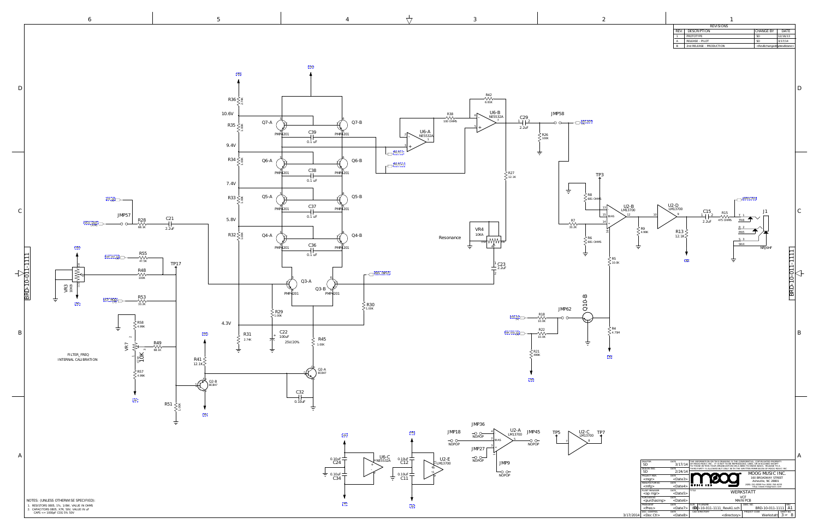|            | <b>REVISIONS</b>         |                                                   |          |
|------------|--------------------------|---------------------------------------------------|----------|
| <b>REV</b> | DESCRIPTION              | l change by                                       | DATE.    |
|            | PROTOTYPE                | SГ                                                | 12/16/13 |
|            | RELEASE - PILOT          | SE.                                               | 3/17/14  |
|            | 2nd RELEASE - PRODUCTION | <revbchangedbycrevbdate></revbchangedbycrevbdate> |          |

<span id="page-3-0"></span>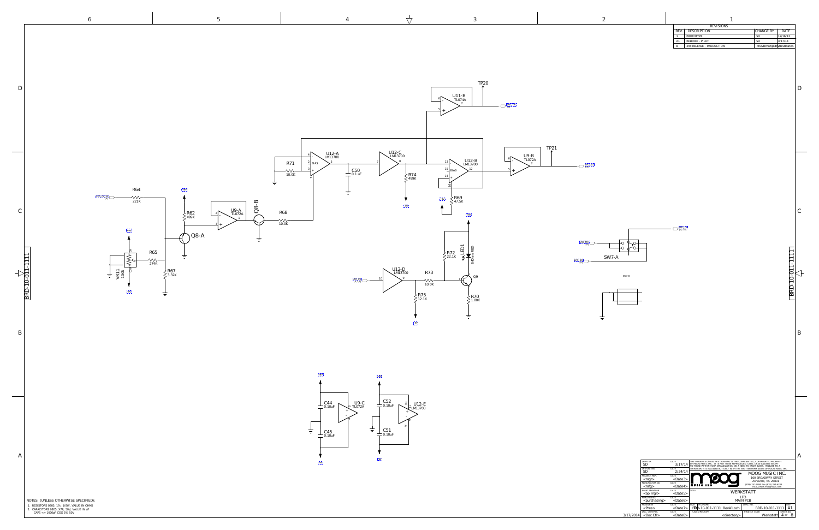|       | <b>REVISIONS</b>         |                                                   |          |
|-------|--------------------------|---------------------------------------------------|----------|
| R.F.V | DESCRIPTION              | l CHANGE BY                                       | DATE.    |
|       | PROTOTYPE                | SE                                                | 12/16/13 |
| A1    | RELEASE - PILOT          | SE                                                | 3/17/14  |
|       | 2nd RELEASE - PRODUCTION | <revbchangedbycrevbdate></revbchangedbycrevbdate> |          |

 $\mathcal{C}_{0}^{(n)}$ 

|        | DRAFTER<br>SD<br>DESIGN ENG.            | DATE<br>3/17/14<br>DATE          |              | THE INFORMATION ON THIS DRAWING IS THE CONFIDENTIAL, COPYRIGHTED PROPERTY<br>OF MOOG MUSIC INC. IT IS NOT TO BE REPRODUCED. USED. OR DISCLOSED EXCEPT<br>TO THOSE WITHIN YOUR ORGANIZATION ON A NEED TO KNOW BASIS. RELEASE TO A | THIRD PARTY IS ALLOWED BUT ONLY WITH THE WRITTEN PERMISSION OF MOOG MUSIC INC. |
|--------|-----------------------------------------|----------------------------------|--------------|----------------------------------------------------------------------------------------------------------------------------------------------------------------------------------------------------------------------------------|--------------------------------------------------------------------------------|
|        | SD<br>PROJECT MGR.<br>$<$ mgr $>$       | 2/24/14<br>DATE<br>$<$ Date $3>$ |              | ◉                                                                                                                                                                                                                                | MOOG MUSIC INC.<br><b>160 BROADWAY STREET</b><br>Asheville, NC 28801           |
|        | MANUFACTURING<br>$<$ mfg>               | <b>DATE</b><br><date4></date4>   | <b>MUSIC</b> |                                                                                                                                                                                                                                  | (828) 251-0090 Fax (828) 254-6233<br>http://www.moogmusic.com                  |
|        | PLANT MANAGER<br><op mgr=""></op>       | DATE<br>$<$ Date5>               | TITLE        |                                                                                                                                                                                                                                  | WERKSTATT                                                                      |
|        | PURCHASING<br><purchasing></purchasing> | DATE<br>$<$ Date $6>$            |              |                                                                                                                                                                                                                                  | I.FO<br><b>MAIN PCB</b>                                                        |
|        | PRESIDENT<br>$<$ Pres $>$               | DATE<br>$<$ Date $7$ >           | <b>SIZE</b>  | <b>FILENAME</b><br>BBD-10-011-1111 RevA1.sch                                                                                                                                                                                     | DWG. NO.<br><b>REV</b><br>BRD-10-011-1111<br>A                                 |
| $4 \,$ | DOC. CONTROL<br><doc ctl=""></doc>      | DATE<br><date8></date8>          |              | CAD DIRECTORY<br><directory></directory>                                                                                                                                                                                         | PROJECT CODE<br>SHEET NO.<br>Werkstatt<br>$4$ OF                               |

B

BRD-10-011-1111

 $\boxed{\text{BRD-10-011}}$ 

<span id="page-4-0"></span>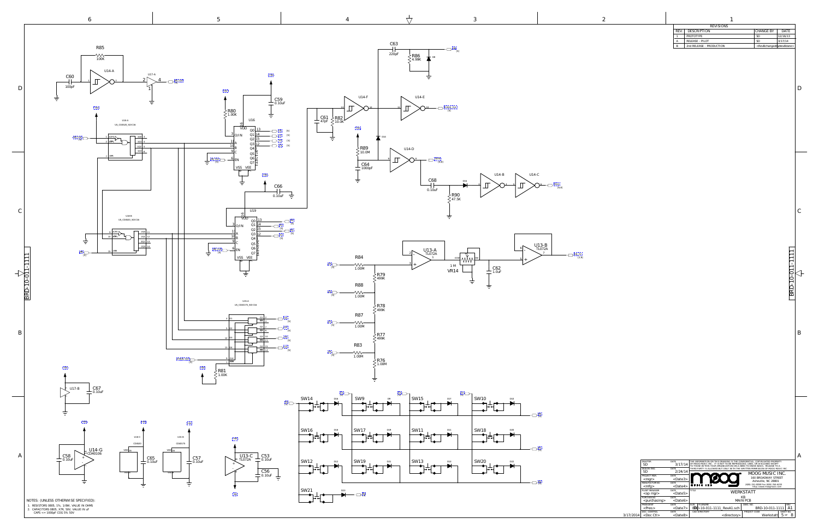1. RESISTORS 0805, 1%, 1/8W, VALUE IN OHMS NOTES: (UNLESS OTHERWISE SPECIFIED):

|       | <b>REVISIONS</b>         |                                                   |             |
|-------|--------------------------|---------------------------------------------------|-------------|
| R.F.V | DESCRIPTION              | l CHANGE BY                                       | <b>DATE</b> |
|       | PROTOTYPE                | SГ                                                | 12/16/13    |
|       | RELEASE - PILOT          | SE.                                               | 3/17/14     |
|       | 2nd RELEASE - PRODUCTION | <revbchangedbycrevbdate></revbchangedbycrevbdate> |             |

|   | DRAFTER<br>SD<br>DESIGN ENG.       | DATE<br>3/17/14<br>DATE | THE INFORMATION ON THIS DRAWING IS THE CONFIDENTIAL. COPYRIGHTED PROPERTY<br>OF MOOG MUSIC INC. IT IS NOT TO BE REPRODUCED. USED. OR DISCLOSED EXCEPT<br>TO THOSE WITHIN YOUR ORGANIZATION ON A NEED TO KNOW BASIS. RELEASE TO A<br>THIRD PARTY IS ALLOWED BUT ONLY WITH THE WRITTEN PERMISSION OF MOOG MUSIC INC. |  |
|---|------------------------------------|-------------------------|--------------------------------------------------------------------------------------------------------------------------------------------------------------------------------------------------------------------------------------------------------------------------------------------------------------------|--|
|   | SD<br>PROJECT MGR.                 | 2/24/14<br>DATE         | MOOG MUSIC INC.<br>ι®                                                                                                                                                                                                                                                                                              |  |
|   | $<$ mgr $>$                        | $<$ Date $3>$           | <b>160 BROADWAY STREET</b><br>Asheville, NC 28801                                                                                                                                                                                                                                                                  |  |
|   | MANUFACTURING                      | DATE                    | (828) 251-0090 Fax (828) 254-6233<br><b>MUSIC</b>                                                                                                                                                                                                                                                                  |  |
|   | $<$ mfg $>$                        | $<$ Date4>              | http://www.moogmusic.com                                                                                                                                                                                                                                                                                           |  |
|   | PLANT MANAGER                      | DATE                    | TITLE                                                                                                                                                                                                                                                                                                              |  |
|   |                                    |                         |                                                                                                                                                                                                                                                                                                                    |  |
|   | <op mgr=""></op>                   | $<$ Date5>              | WERKSTATT                                                                                                                                                                                                                                                                                                          |  |
|   | PURCHASING                         | DATE.                   | KB                                                                                                                                                                                                                                                                                                                 |  |
|   | <purchasing></purchasing>          | $<$ Date $6>$           | <b>MAIN PCB</b>                                                                                                                                                                                                                                                                                                    |  |
|   | <b>PRESIDENT</b>                   | DATE                    | <b>SIZE</b><br>FILENAME<br>DWG. NO.<br><b>REV</b>                                                                                                                                                                                                                                                                  |  |
|   | $<$ Pres $>$                       | $<$ Date $7$ >          | BBD-10-011-1111 RevA1.sch<br>BRD-10-011-1111<br>A.                                                                                                                                                                                                                                                                 |  |
| 4 | DOC. CONTROL<br><doc ctl=""></doc> | DATE                    | CAD DIRECTORY<br>PROJECT CODE<br>SHEET NO.<br>Werkstatt<br><directory><br/><math>5</math> OF</directory>                                                                                                                                                                                                           |  |

2. CAPACITORS 0805, X7R, 50V, VALUE IN uF CAPS <= 1000pF COG 5% 50V 3/17/2014









<span id="page-5-0"></span>



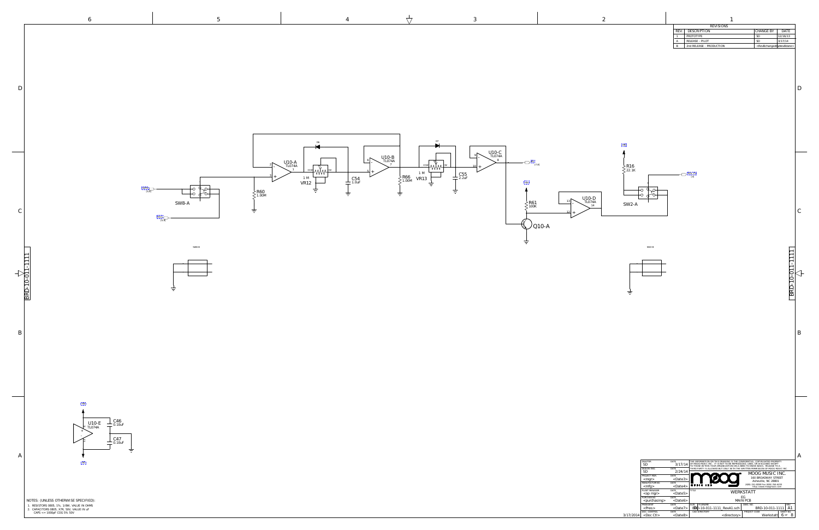|            | <b>REVISIONS</b>         |                                                   |          |
|------------|--------------------------|---------------------------------------------------|----------|
| <b>REV</b> | DESCRIPTION              | l CHANGE BY                                       | DATE.    |
|            | PROTOTYPE                | SЕ                                                | 12/16/13 |
|            | RELEASE - PILOT          | SE                                                | 3/17/14  |
|            | 2nd RELEASE - PRODUCTION | <revbchangedbycrevbdate></revbchangedbycrevbdate> |          |

|   | DRAFTER<br>SD<br>DESIGN ENG.                | DATE<br>3/17/14<br>DATE          | THE INFORMATION ON THIS DRAWING IS THE CONFIDENTIAL. COPYRIGHTED PROPERTY<br>OF MOOG MUSIC INC. IT IS NOT TO BE REPRODUCED. USED. OR DISCLOSED EXCEPT<br>TO THOSE WITHIN YOUR ORGANIZATION ON A NEED TO KNOW BASIS. RELEASE TO A<br>THIRD PARTY IS ALLOWED BUT ONLY WITH THE WRITTEN PERMISSION OF MOOG MUSIC INC. |                                                                                      |  |
|---|---------------------------------------------|----------------------------------|--------------------------------------------------------------------------------------------------------------------------------------------------------------------------------------------------------------------------------------------------------------------------------------------------------------------|--------------------------------------------------------------------------------------|--|
|   | SD<br>PROJECT MGR.                          | 2/24/14<br>DATE<br>$<$ Date $3>$ | ۱Đ                                                                                                                                                                                                                                                                                                                 | MOOG MUSIC INC.<br><b>160 BROADWAY STREET</b>                                        |  |
|   | $<$ mgr $>$<br>MANUFACTURING<br>$<$ mfg $>$ | DATE<br>$<$ Date4>               | <b>MUSIC</b>                                                                                                                                                                                                                                                                                                       | Asheville, NC 28801<br>(828) 251-0090 Fax (828) 254-6233<br>http://www.moogmusic.com |  |
|   | PLANT MANAGER<br>$<$ op mgr $>$             | DATE<br>$<$ Date5>               | TITLE<br>WERKSTATT                                                                                                                                                                                                                                                                                                 |                                                                                      |  |
|   | PURCHASING<br><purchasing></purchasing>     | DATE<br>$<$ Date $6>$            | EG<br><b>MAIN PCB</b>                                                                                                                                                                                                                                                                                              |                                                                                      |  |
|   | <b>PRESIDENT</b><br>$<$ Pres $>$            | DATE<br>$<$ Date $7$ >           | <b>SIZE</b><br><b>FILENAME</b><br>BDD-10-011-1111_RevA1.sch                                                                                                                                                                                                                                                        | DWG. NO.<br><b>REV</b><br>BRD-10-011-1111<br>A1                                      |  |
| 4 | DOC. CONTROL<br><doc ctl=""></doc>          | DATE<br><date8></date8>          | CAD DIRECTORY<br><directory></directory>                                                                                                                                                                                                                                                                           | PROJECT CODE<br>SHEET NO.<br>6<br>Werkstatt<br>OF                                    |  |

B

 $\Box$ 

 $\mathcal{C}_{0}^{(n)}$ 

BRD-10-011-1111

 $\boxed{\text{BRD-10-011}}$ 

<span id="page-6-0"></span>

SW2-B



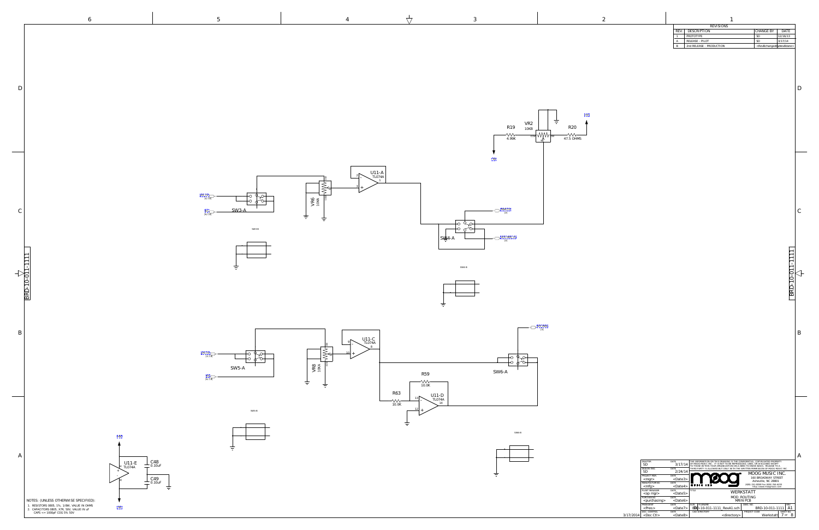|       | <b>REVISIONS</b>         |                                                   |             |
|-------|--------------------------|---------------------------------------------------|-------------|
| R.F.V | DESCRIPTION              | l CHANGE BY                                       | <b>DATE</b> |
|       | PROTOTYPE                | SГ                                                | 12/16/13    |
|       | RELEASE - PILOT          | SE.                                               | 3/17/14     |
|       | 2nd RELEASE - PRODUCTION | <revbchangedbycrevbdate></revbchangedbycrevbdate> |             |

|   | <b>DRAFTER</b><br>SD<br>DESIGN ENG.     | DATE<br>3/17/14<br>DATE          |              | THE INFORMATION ON THIS DRAWING IS THE CONFIDENTIAL. COPYRIGHTED PROPERTY<br>OF MOOG MUSIC INC. IT IS NOT TO BE REPRODUCED. USED. OR DISCLOSED EXCEPT<br>TO THOSE WITHIN YOUR ORGANIZATION ON A NEED TO KNOW BASIS. RELEASE TO A | THIRD PARTY IS ALLOWED BUT ONLY WITH THE WRITTEN PERMISSION OF MOOG MUSIC INC. |  |
|---|-----------------------------------------|----------------------------------|--------------|----------------------------------------------------------------------------------------------------------------------------------------------------------------------------------------------------------------------------------|--------------------------------------------------------------------------------|--|
|   | SD<br>PROJECT MGR.<br>$<$ mgr $>$       | 2/24/14<br>DATE<br>$<$ Date $3>$ |              | ı®                                                                                                                                                                                                                               | MOOG MUSIC INC.<br>160 BROADWAY STREET<br>Asheville, NC 28801                  |  |
|   | MANUFACTURING<br>$<$ mfg $>$            | DATE<br>$<$ Date4>               | <b>MUSIC</b> |                                                                                                                                                                                                                                  | (828) 251-0090 Fax (828) 254-6233<br>http://www.moogmusic.com                  |  |
|   | PLANT MANAGER<br><op mgr=""></op>       | DATE<br>$<$ Date5>               | TITLE        | WERKSTATT                                                                                                                                                                                                                        |                                                                                |  |
|   | PURCHASING<br><purchasing></purchasing> | DATE<br>$<$ Date $6>$            |              |                                                                                                                                                                                                                                  | MOD_ROUTING<br>MAIN PCB                                                        |  |
|   | <b>PRESIDENT</b><br>$<$ Pres $>$        | DATE<br>$<$ Date $7$ >           | <b>SIZE</b>  | <b>FILENAME</b><br>BBD-10-011-1111 RevA1.sch                                                                                                                                                                                     | DWG. NO.<br><b>REV</b><br>BRD-10-011-1111<br>A                                 |  |
| 4 | DOC. CONTROL<br><doc ctl=""></doc>      | DATE<br><date8></date8>          |              | CAD DIRECTORY<br><directory></directory>                                                                                                                                                                                         | PROJECT CODE<br>SHEET NO.<br>Werkstatt                                         |  |



<span id="page-7-0"></span>